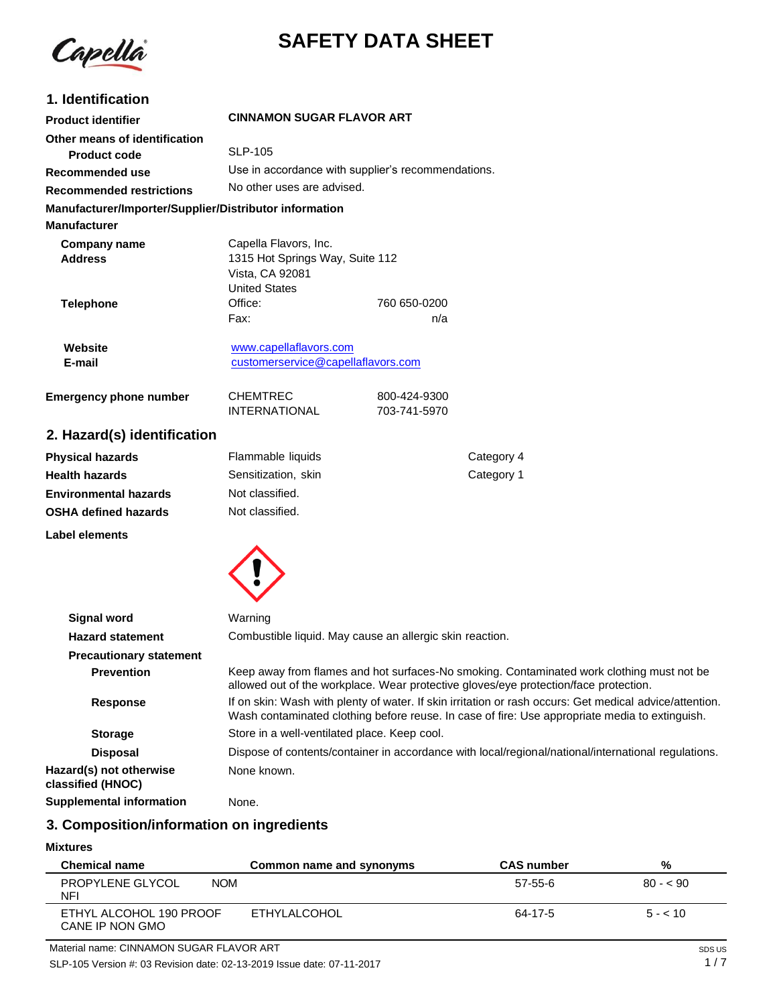

# **SAFETY DATA SHEET**

| 1. Identification                                                             |                                                                                                                                                                                                           |                                              |                                                                                                                                                                                   |
|-------------------------------------------------------------------------------|-----------------------------------------------------------------------------------------------------------------------------------------------------------------------------------------------------------|----------------------------------------------|-----------------------------------------------------------------------------------------------------------------------------------------------------------------------------------|
| <b>Product identifier</b>                                                     | <b>CINNAMON SUGAR FLAVOR ART</b>                                                                                                                                                                          |                                              |                                                                                                                                                                                   |
| Other means of identification                                                 |                                                                                                                                                                                                           |                                              |                                                                                                                                                                                   |
| <b>Product code</b>                                                           | <b>SLP-105</b>                                                                                                                                                                                            |                                              |                                                                                                                                                                                   |
| <b>Recommended use</b>                                                        | Use in accordance with supplier's recommendations.                                                                                                                                                        |                                              |                                                                                                                                                                                   |
| <b>Recommended restrictions</b>                                               | No other uses are advised.                                                                                                                                                                                |                                              |                                                                                                                                                                                   |
| Manufacturer/Importer/Supplier/Distributor information<br><b>Manufacturer</b> |                                                                                                                                                                                                           |                                              |                                                                                                                                                                                   |
| <b>Company name</b><br><b>Address</b>                                         | Capella Flavors, Inc.<br>1315 Hot Springs Way, Suite 112<br>Vista, CA 92081<br><b>United States</b>                                                                                                       |                                              |                                                                                                                                                                                   |
| <b>Telephone</b>                                                              | Office:                                                                                                                                                                                                   | 760 650-0200                                 |                                                                                                                                                                                   |
|                                                                               | Fax:                                                                                                                                                                                                      | n/a                                          |                                                                                                                                                                                   |
| Website<br>E-mail                                                             | www.capellaflavors.com<br>customerservice@capellaflavors.com                                                                                                                                              |                                              |                                                                                                                                                                                   |
| <b>Emergency phone number</b>                                                 | CHEMTREC<br><b>INTERNATIONAL</b>                                                                                                                                                                          | 800-424-9300<br>703-741-5970                 |                                                                                                                                                                                   |
| 2. Hazard(s) identification                                                   |                                                                                                                                                                                                           |                                              |                                                                                                                                                                                   |
| <b>Physical hazards</b>                                                       | Flammable liquids                                                                                                                                                                                         |                                              | Category 4                                                                                                                                                                        |
| <b>Health hazards</b>                                                         | Sensitization, skin                                                                                                                                                                                       |                                              | Category 1                                                                                                                                                                        |
| <b>Environmental hazards</b>                                                  | Not classified.                                                                                                                                                                                           |                                              |                                                                                                                                                                                   |
| <b>OSHA defined hazards</b>                                                   | Not classified.                                                                                                                                                                                           |                                              |                                                                                                                                                                                   |
| <b>Label elements</b>                                                         |                                                                                                                                                                                                           |                                              |                                                                                                                                                                                   |
|                                                                               |                                                                                                                                                                                                           |                                              |                                                                                                                                                                                   |
| <b>Signal word</b>                                                            | Warning                                                                                                                                                                                                   |                                              |                                                                                                                                                                                   |
| <b>Hazard statement</b>                                                       | Combustible liquid. May cause an allergic skin reaction.                                                                                                                                                  |                                              |                                                                                                                                                                                   |
| <b>Precautionary statement</b>                                                |                                                                                                                                                                                                           |                                              |                                                                                                                                                                                   |
| <b>Prevention</b>                                                             |                                                                                                                                                                                                           |                                              | Keep away from flames and hot surfaces-No smoking. Contaminated work clothing must not be<br>allowed out of the workplace. Wear protective gloves/eye protection/face protection. |
| <b>Response</b>                                                               | If on skin: Wash with plenty of water. If skin irritation or rash occurs: Get medical advice/attention.<br>Wash contaminated clothing before reuse. In case of fire: Use appropriate media to extinguish. |                                              |                                                                                                                                                                                   |
| <b>Storage</b>                                                                |                                                                                                                                                                                                           | Store in a well-ventilated place. Keep cool. |                                                                                                                                                                                   |
| <b>Disposal</b>                                                               |                                                                                                                                                                                                           |                                              | Dispose of contents/container in accordance with local/regional/national/international regulations.                                                                               |
| Hazard(s) not otherwise<br>classified (HNOC)                                  | None known.                                                                                                                                                                                               |                                              |                                                                                                                                                                                   |
| <b>Supplemental information</b>                                               | None.                                                                                                                                                                                                     |                                              |                                                                                                                                                                                   |

# **3. Composition/information on ingredients**

## **Mixtures**

| <b>Chemical name</b>                       | Common name and synonyms | <b>CAS number</b> | %         |
|--------------------------------------------|--------------------------|-------------------|-----------|
| PROPYLENE GLYCOL<br><b>NOM</b><br>NFI      |                          | 57-55-6           | $80 - 50$ |
| ETHYL ALCOHOL 190 PROOF<br>CANE IP NON GMO | ETHYLALCOHOL             | 64-17-5           | $5 - 10$  |

SLP-105 Version #: 03 Revision date: 02-13-2019 Issue date: 07-11-2017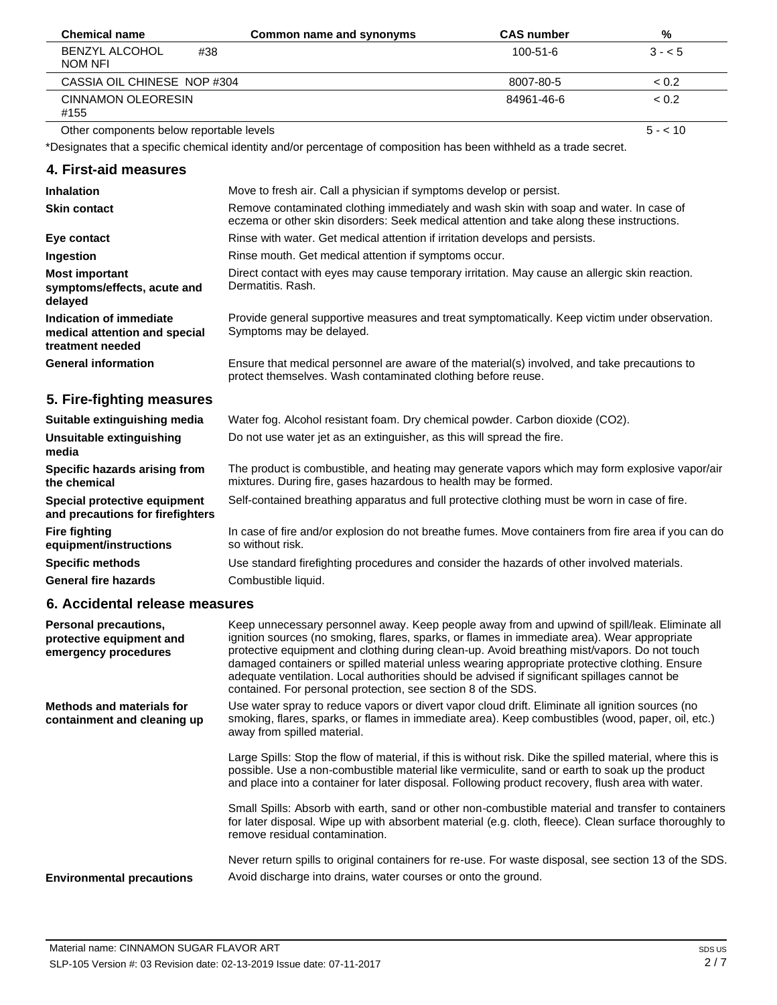| <b>Chemical name</b>                     | Common name and synonyms | <b>CAS number</b> | %        |
|------------------------------------------|--------------------------|-------------------|----------|
| <b>BENZYL ALCOHOL</b><br>#38<br>NOM NFI  |                          | $100 - 51 - 6$    | $3 - 5$  |
| CASSIA OIL CHINESE NOP #304              |                          | 8007-80-5         | < 0.2    |
| <b>CINNAMON OLEORESIN</b><br>#155        |                          | 84961-46-6        | < 0.2    |
| Other components below reportable levels |                          |                   | $5 - 10$ |

Other components below reportable levels

\*Designates that a specific chemical identity and/or percentage of composition has been withheld as a trade secret.

# **4. First-aid measures**

| <b>Inhalation</b>                                                            | Move to fresh air. Call a physician if symptoms develop or persist.                                                                                                                 |
|------------------------------------------------------------------------------|-------------------------------------------------------------------------------------------------------------------------------------------------------------------------------------|
| <b>Skin contact</b>                                                          | Remove contaminated clothing immediately and wash skin with soap and water. In case of<br>eczema or other skin disorders: Seek medical attention and take along these instructions. |
| Eye contact                                                                  | Rinse with water. Get medical attention if irritation develops and persists.                                                                                                        |
| Ingestion                                                                    | Rinse mouth. Get medical attention if symptoms occur.                                                                                                                               |
| <b>Most important</b><br>symptoms/effects, acute and<br>delayed              | Direct contact with eyes may cause temporary irritation. May cause an allergic skin reaction.<br>Dermatitis, Rash.                                                                  |
| Indication of immediate<br>medical attention and special<br>treatment needed | Provide general supportive measures and treat symptomatically. Keep victim under observation.<br>Symptoms may be delayed.                                                           |
| <b>General information</b>                                                   | Ensure that medical personnel are aware of the material(s) involved, and take precautions to<br>protect themselves. Wash contaminated clothing before reuse.                        |
| 5. Fire-fighting measures                                                    |                                                                                                                                                                                     |
| Suitable extinguishing media                                                 | Water fog. Alcohol resistant foam. Dry chemical powder. Carbon dioxide (CO2).                                                                                                       |
| Unsuitable extinguishing<br>media                                            | Do not use water jet as an extinguisher, as this will spread the fire.                                                                                                              |
| Specific hazards arising from<br>the chemical                                | The product is combustible, and heating may generate vapors which may form explosive vapor/air<br>mixtures. During fire, gases hazardous to health may be formed.                   |
| Special protective equipment<br>and precautions for firefighters             | Self-contained breathing apparatus and full protective clothing must be worn in case of fire.                                                                                       |
| <b>Fire fighting</b><br>equipment/instructions                               | In case of fire and/or explosion do not breathe fumes. Move containers from fire area if you can do<br>so without risk.                                                             |
| <b>Specific methods</b>                                                      | Use standard firefighting procedures and consider the hazards of other involved materials.                                                                                          |
| <b>General fire hazards</b>                                                  | Combustible liquid.                                                                                                                                                                 |

# **6. Accidental release measures**

| <b>Personal precautions,</b><br>protective equipment and<br>emergency procedures | Keep unnecessary personnel away. Keep people away from and upwind of spill/leak. Eliminate all<br>ignition sources (no smoking, flares, sparks, or flames in immediate area). Wear appropriate<br>protective equipment and clothing during clean-up. Avoid breathing mist/vapors. Do not touch<br>damaged containers or spilled material unless wearing appropriate protective clothing. Ensure<br>adequate ventilation. Local authorities should be advised if significant spillages cannot be<br>contained. For personal protection, see section 8 of the SDS. |
|----------------------------------------------------------------------------------|------------------------------------------------------------------------------------------------------------------------------------------------------------------------------------------------------------------------------------------------------------------------------------------------------------------------------------------------------------------------------------------------------------------------------------------------------------------------------------------------------------------------------------------------------------------|
| <b>Methods and materials for</b><br>containment and cleaning up                  | Use water spray to reduce vapors or divert vapor cloud drift. Eliminate all ignition sources (no<br>smoking, flares, sparks, or flames in immediate area). Keep combustibles (wood, paper, oil, etc.)<br>away from spilled material.                                                                                                                                                                                                                                                                                                                             |
|                                                                                  | Large Spills: Stop the flow of material, if this is without risk. Dike the spilled material, where this is<br>possible. Use a non-combustible material like vermiculite, sand or earth to soak up the product<br>and place into a container for later disposal. Following product recovery, flush area with water.                                                                                                                                                                                                                                               |
|                                                                                  | Small Spills: Absorb with earth, sand or other non-combustible material and transfer to containers<br>for later disposal. Wipe up with absorbent material (e.g. cloth, fleece). Clean surface thoroughly to<br>remove residual contamination.                                                                                                                                                                                                                                                                                                                    |
| <b>Environmental precautions</b>                                                 | Never return spills to original containers for re-use. For waste disposal, see section 13 of the SDS.<br>Avoid discharge into drains, water courses or onto the ground.                                                                                                                                                                                                                                                                                                                                                                                          |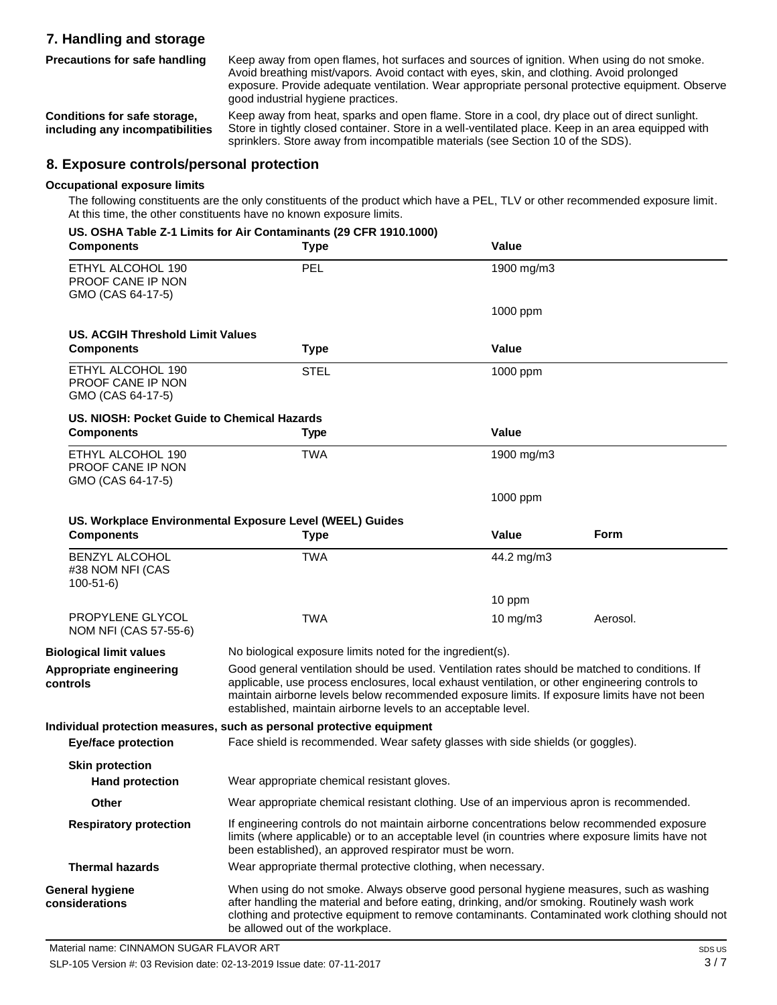# **7. Handling and storage Precautions for safe handling**

Keep away from open flames, hot surfaces and sources of ignition. When using do not smoke. Avoid breathing mist/vapors. Avoid contact with eyes, skin, and clothing. Avoid prolonged exposure. Provide adequate ventilation. Wear appropriate personal protective equipment. Observe good industrial hygiene practices.

**Conditions for safe storage, including any incompatibilities** Keep away from heat, sparks and open flame. Store in a cool, dry place out of direct sunlight. Store in tightly closed container. Store in a well-ventilated place. Keep in an area equipped with sprinklers. Store away from incompatible materials (see Section 10 of the SDS).

# **8. Exposure controls/personal protection**

### **Occupational exposure limits**

**controls**

The following constituents are the only constituents of the product which have a PEL, TLV or other recommended exposure limit. At this time, the other constituents have no known exposure limits.

| <b>Components</b>                                                  | US. OSHA Table Z-1 Limits for Air Contaminants (29 CFR 1910.1000)<br><b>Type</b>                                                                                                                                                                                                                                                                                   | Value        |          |
|--------------------------------------------------------------------|--------------------------------------------------------------------------------------------------------------------------------------------------------------------------------------------------------------------------------------------------------------------------------------------------------------------------------------------------------------------|--------------|----------|
| ETHYL ALCOHOL 190<br>PROOF CANE IP NON<br>GMO (CAS 64-17-5)        | PEL                                                                                                                                                                                                                                                                                                                                                                | 1900 mg/m3   |          |
|                                                                    |                                                                                                                                                                                                                                                                                                                                                                    | 1000 ppm     |          |
| <b>US. ACGIH Threshold Limit Values</b>                            |                                                                                                                                                                                                                                                                                                                                                                    |              |          |
| <b>Components</b>                                                  | <b>Type</b>                                                                                                                                                                                                                                                                                                                                                        | Value        |          |
| ETHYL ALCOHOL 190<br><b>PROOF CANE IP NON</b><br>GMO (CAS 64-17-5) | <b>STEL</b>                                                                                                                                                                                                                                                                                                                                                        | 1000 ppm     |          |
| US. NIOSH: Pocket Guide to Chemical Hazards                        |                                                                                                                                                                                                                                                                                                                                                                    |              |          |
| <b>Components</b>                                                  | <b>Type</b>                                                                                                                                                                                                                                                                                                                                                        | <b>Value</b> |          |
| ETHYL ALCOHOL 190<br><b>PROOF CANE IP NON</b><br>GMO (CAS 64-17-5) | <b>TWA</b>                                                                                                                                                                                                                                                                                                                                                         | 1900 mg/m3   |          |
|                                                                    |                                                                                                                                                                                                                                                                                                                                                                    | 1000 ppm     |          |
|                                                                    | US. Workplace Environmental Exposure Level (WEEL) Guides                                                                                                                                                                                                                                                                                                           |              |          |
| <b>Components</b>                                                  | <b>Type</b>                                                                                                                                                                                                                                                                                                                                                        | <b>Value</b> | Form     |
| <b>BENZYL ALCOHOL</b><br>#38 NOM NFI (CAS<br>$100 - 51 - 6$        | <b>TWA</b>                                                                                                                                                                                                                                                                                                                                                         | 44.2 mg/m3   |          |
|                                                                    |                                                                                                                                                                                                                                                                                                                                                                    | 10 ppm       |          |
| <b>PROPYLENE GLYCOL</b><br>NOM NFI (CAS 57-55-6)                   | <b>TWA</b>                                                                                                                                                                                                                                                                                                                                                         | 10 mg/m $3$  | Aerosol. |
| <b>Biological limit values</b>                                     | No biological exposure limits noted for the ingredient(s).                                                                                                                                                                                                                                                                                                         |              |          |
| Appropriate engineering<br>controls                                | Good general ventilation should be used. Ventilation rates should be matched to conditions. If<br>applicable, use process enclosures, local exhaust ventilation, or other engineering controls to<br>maintain airborne levels below recommended exposure limits. If exposure limits have not been<br>established, maintain airborne levels to an acceptable level. |              |          |
|                                                                    | Individual protection measures, such as personal protective equipment                                                                                                                                                                                                                                                                                              |              |          |
| <b>Eye/face protection</b>                                         | Face shield is recommended. Wear safety glasses with side shields (or goggles).                                                                                                                                                                                                                                                                                    |              |          |
| <b>Skin protection</b><br><b>Hand protection</b>                   | Wear appropriate chemical resistant gloves.                                                                                                                                                                                                                                                                                                                        |              |          |
| Other                                                              | Wear appropriate chemical resistant clothing. Use of an impervious apron is recommended.                                                                                                                                                                                                                                                                           |              |          |
| <b>Respiratory protection</b>                                      | If engineering controls do not maintain airborne concentrations below recommended exposure<br>limits (where applicable) or to an acceptable level (in countries where exposure limits have not<br>been established), an approved respirator must be worn.                                                                                                          |              |          |
| <b>Thermal hazards</b>                                             | Wear appropriate thermal protective clothing, when necessary.                                                                                                                                                                                                                                                                                                      |              |          |
| <b>General hygiene</b><br>considerations                           | When using do not smoke. Always observe good personal hygiene measures, such as washing<br>after handling the material and before eating, drinking, and/or smoking. Routinely wash work<br>clothing and protective equipment to remove contaminants. Contaminated work clothing should not<br>be allowed out of the workplace.                                     |              |          |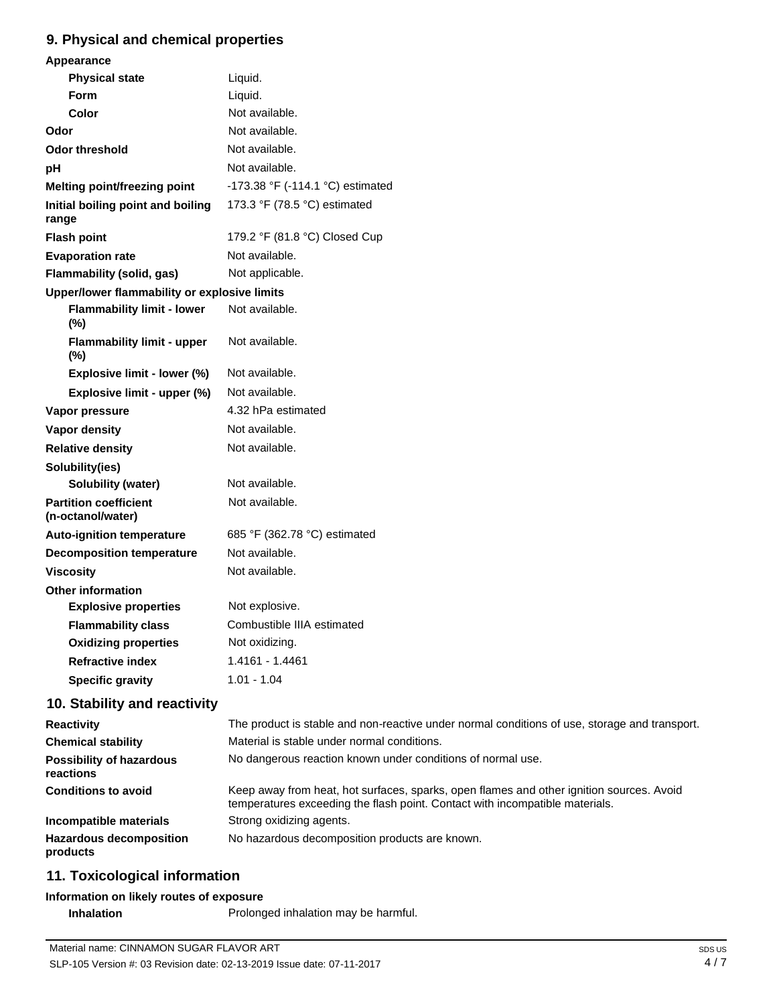# **9. Physical and chemical properties**

| Appearance                                        |                                  |
|---------------------------------------------------|----------------------------------|
| <b>Physical state</b>                             | Liquid.                          |
| <b>Form</b>                                       | Liquid.                          |
| <b>Color</b>                                      | Not available.                   |
| Odor                                              | Not available.                   |
| <b>Odor threshold</b>                             | Not available.                   |
| рH                                                | Not available.                   |
| Melting point/freezing point                      | -173.38 °F (-114.1 °C) estimated |
| Initial boiling point and boiling<br>range        | 173.3 °F (78.5 °C) estimated     |
| <b>Flash point</b>                                | 179.2 °F (81.8 °C) Closed Cup    |
| <b>Evaporation rate</b>                           | Not available.                   |
| <b>Flammability (solid, gas)</b>                  | Not applicable.                  |
| Upper/lower flammability or explosive limits      |                                  |
| <b>Flammability limit - lower</b><br>$(\%)$       | Not available.                   |
| <b>Flammability limit - upper</b><br>$(\%)$       | Not available.                   |
| Explosive limit - lower (%)                       | Not available.                   |
| Explosive limit - upper (%)                       | Not available.                   |
| Vapor pressure                                    | 4.32 hPa estimated               |
| <b>Vapor density</b>                              | Not available.                   |
| <b>Relative density</b>                           | Not available.                   |
| Solubility(ies)                                   |                                  |
| <b>Solubility (water)</b>                         | Not available.                   |
| <b>Partition coefficient</b><br>(n-octanol/water) | Not available.                   |
| <b>Auto-ignition temperature</b>                  | 685 °F (362.78 °C) estimated     |
| <b>Decomposition temperature</b>                  | Not available.                   |
| <b>Viscosity</b>                                  | Not available.                   |
| <b>Other information</b>                          |                                  |
| <b>Explosive properties</b>                       | Not explosive.                   |
| <b>Flammability class</b>                         | Combustible IIIA estimated       |
| <b>Oxidizing properties</b>                       | Not oxidizing.                   |
| <b>Refractive index</b>                           | 1.4161 - 1.4461                  |
| <b>Specific gravity</b>                           | $1.01 - 1.04$                    |
| 10. Stability and reactivity                      |                                  |

#### **Reactivity Chemical stability Possibility of hazardous reactions Conditions to avoid Incompatible materials Hazardous decomposition products** The product is stable and non-reactive under normal conditions of use, storage and transport. Material is stable under normal conditions. No dangerous reaction known under conditions of normal use. Keep away from heat, hot surfaces, sparks, open flames and other ignition sources. Avoid temperatures exceeding the flash point. Contact with incompatible materials. Strong oxidizing agents. No hazardous decomposition products are known.

# **11. Toxicological information**

# **Information on likely routes of exposure**

**Inhalation** Prolonged inhalation may be harmful.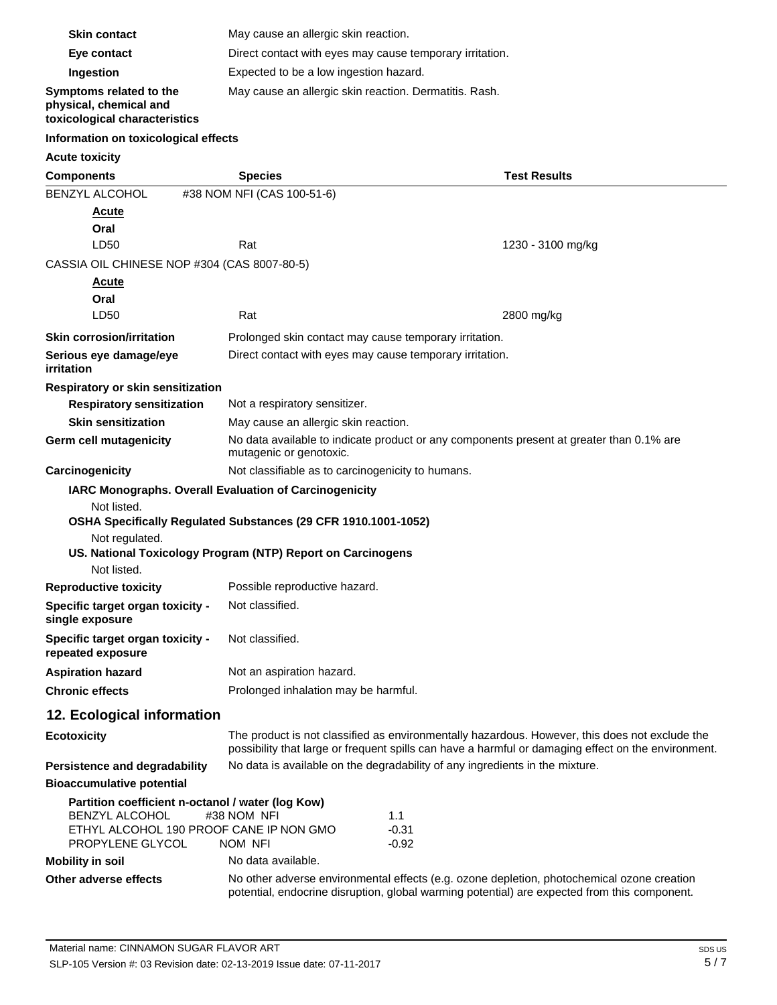| <b>Skin contact</b>                                                                | May cause an allergic skin reaction.                                                                                             |                                                                                                                                                                                                       |
|------------------------------------------------------------------------------------|----------------------------------------------------------------------------------------------------------------------------------|-------------------------------------------------------------------------------------------------------------------------------------------------------------------------------------------------------|
| Eye contact                                                                        | Direct contact with eyes may cause temporary irritation.                                                                         |                                                                                                                                                                                                       |
| Ingestion                                                                          | Expected to be a low ingestion hazard.                                                                                           |                                                                                                                                                                                                       |
| Symptoms related to the<br>physical, chemical and<br>toxicological characteristics | May cause an allergic skin reaction. Dermatitis. Rash.                                                                           |                                                                                                                                                                                                       |
| Information on toxicological effects                                               |                                                                                                                                  |                                                                                                                                                                                                       |
| <b>Acute toxicity</b>                                                              |                                                                                                                                  |                                                                                                                                                                                                       |
| <b>Components</b>                                                                  | <b>Species</b>                                                                                                                   | <b>Test Results</b>                                                                                                                                                                                   |
| BENZYL ALCOHOL                                                                     | #38 NOM NFI (CAS 100-51-6)                                                                                                       |                                                                                                                                                                                                       |
| <b>Acute</b>                                                                       |                                                                                                                                  |                                                                                                                                                                                                       |
| Oral                                                                               |                                                                                                                                  |                                                                                                                                                                                                       |
| LD50                                                                               | Rat                                                                                                                              | 1230 - 3100 mg/kg                                                                                                                                                                                     |
| CASSIA OIL CHINESE NOP #304 (CAS 8007-80-5)                                        |                                                                                                                                  |                                                                                                                                                                                                       |
| Acute                                                                              |                                                                                                                                  |                                                                                                                                                                                                       |
| Oral                                                                               |                                                                                                                                  |                                                                                                                                                                                                       |
| LD50                                                                               | Rat                                                                                                                              | 2800 mg/kg                                                                                                                                                                                            |
| <b>Skin corrosion/irritation</b>                                                   | Prolonged skin contact may cause temporary irritation.                                                                           |                                                                                                                                                                                                       |
| Serious eye damage/eye<br>irritation                                               | Direct contact with eyes may cause temporary irritation.                                                                         |                                                                                                                                                                                                       |
|                                                                                    |                                                                                                                                  |                                                                                                                                                                                                       |
| Respiratory or skin sensitization<br><b>Respiratory sensitization</b>              | Not a respiratory sensitizer.                                                                                                    |                                                                                                                                                                                                       |
| <b>Skin sensitization</b>                                                          |                                                                                                                                  |                                                                                                                                                                                                       |
| Germ cell mutagenicity                                                             | May cause an allergic skin reaction.<br>No data available to indicate product or any components present at greater than 0.1% are |                                                                                                                                                                                                       |
|                                                                                    | mutagenic or genotoxic.                                                                                                          |                                                                                                                                                                                                       |
| Carcinogenicity                                                                    | Not classifiable as to carcinogenicity to humans.                                                                                |                                                                                                                                                                                                       |
| IARC Monographs. Overall Evaluation of Carcinogenicity                             |                                                                                                                                  |                                                                                                                                                                                                       |
| Not listed.                                                                        | OSHA Specifically Regulated Substances (29 CFR 1910.1001-1052)                                                                   |                                                                                                                                                                                                       |
| Not regulated.                                                                     |                                                                                                                                  |                                                                                                                                                                                                       |
|                                                                                    | US. National Toxicology Program (NTP) Report on Carcinogens                                                                      |                                                                                                                                                                                                       |
| Not listed.                                                                        |                                                                                                                                  |                                                                                                                                                                                                       |
| <b>Reproductive toxicity</b>                                                       | Possible reproductive hazard.                                                                                                    |                                                                                                                                                                                                       |
| Specific target organ toxicity -<br>single exposure                                | Not classified.                                                                                                                  |                                                                                                                                                                                                       |
| Specific target organ toxicity -<br>repeated exposure                              | Not classified.                                                                                                                  |                                                                                                                                                                                                       |
| <b>Aspiration hazard</b>                                                           | Not an aspiration hazard.                                                                                                        |                                                                                                                                                                                                       |
| <b>Chronic effects</b>                                                             | Prolonged inhalation may be harmful.                                                                                             |                                                                                                                                                                                                       |
| 12. Ecological information                                                         |                                                                                                                                  |                                                                                                                                                                                                       |
| <b>Ecotoxicity</b>                                                                 |                                                                                                                                  | The product is not classified as environmentally hazardous. However, this does not exclude the<br>possibility that large or frequent spills can have a harmful or damaging effect on the environment. |
| <b>Persistence and degradability</b>                                               |                                                                                                                                  | No data is available on the degradability of any ingredients in the mixture.                                                                                                                          |
| <b>Bioaccumulative potential</b>                                                   |                                                                                                                                  |                                                                                                                                                                                                       |
| Partition coefficient n-octanol / water (log Kow)                                  |                                                                                                                                  |                                                                                                                                                                                                       |
| BENZYL ALCOHOL<br>ETHYL ALCOHOL 190 PROOF CANE IP NON GMO                          | #38 NOM NFI<br>1.1                                                                                                               | $-0.31$                                                                                                                                                                                               |
| PROPYLENE GLYCOL                                                                   | NOM NFI                                                                                                                          | $-0.92$                                                                                                                                                                                               |
| <b>Mobility in soil</b>                                                            | No data available.                                                                                                               |                                                                                                                                                                                                       |
| Other adverse effects                                                              |                                                                                                                                  | No other adverse environmental effects (e.g. ozone depletion, photochemical ozone creation<br>potential, endocrine disruption, global warming potential) are expected from this component.            |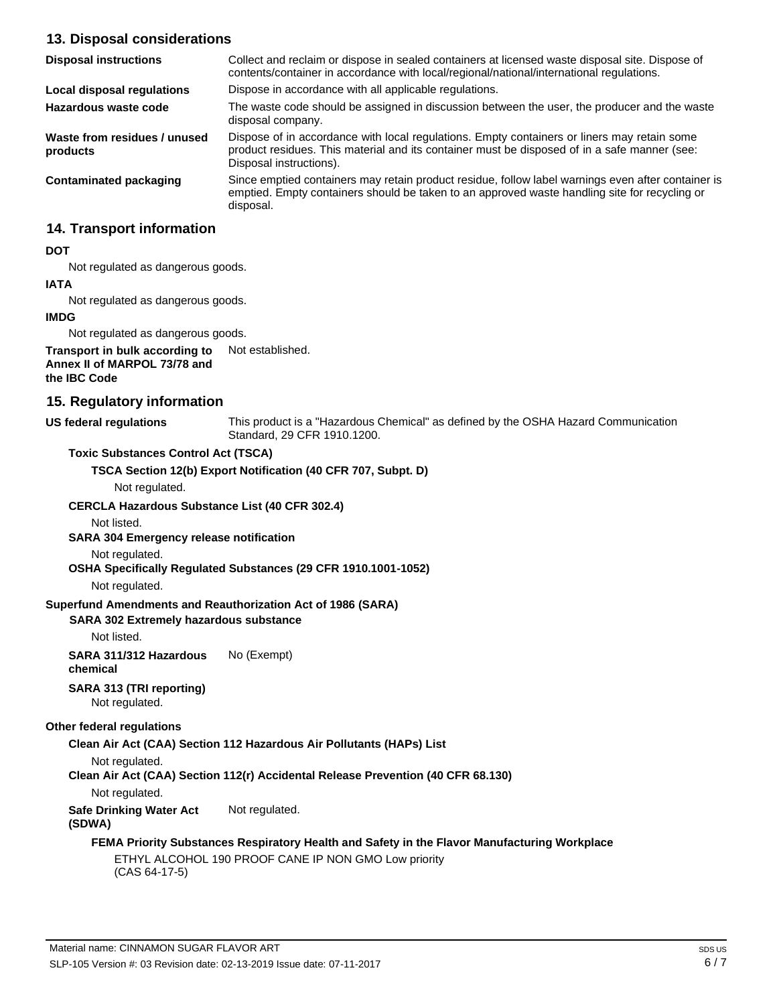# **13. Disposal considerations**

| <b>Disposal instructions</b>             | Collect and reclaim or dispose in sealed containers at licensed waste disposal site. Dispose of<br>contents/container in accordance with local/regional/national/international regulations.                            |
|------------------------------------------|------------------------------------------------------------------------------------------------------------------------------------------------------------------------------------------------------------------------|
| Local disposal regulations               | Dispose in accordance with all applicable regulations.                                                                                                                                                                 |
| Hazardous waste code                     | The waste code should be assigned in discussion between the user, the producer and the waste<br>disposal company.                                                                                                      |
| Waste from residues / unused<br>products | Dispose of in accordance with local regulations. Empty containers or liners may retain some<br>product residues. This material and its container must be disposed of in a safe manner (see:<br>Disposal instructions). |
| Contaminated packaging                   | Since emptied containers may retain product residue, follow label warnings even after container is<br>emptied. Empty containers should be taken to an approved waste handling site for recycling or<br>disposal.       |

# **14. Transport information**

### **DOT**

Not regulated as dangerous goods.

# **IATA**

Not regulated as dangerous goods.

### **IMDG**

Not regulated as dangerous goods.

#### **Transport in bulk according to Annex II of MARPOL 73/78 and the IBC Code** Not established.

# **15. Regulatory information**

### **US federal regulations**

This product is a "Hazardous Chemical" as defined by the OSHA Hazard Communication Standard, 29 CFR 1910.1200.

## **Toxic Substances Control Act (TSCA)**

**TSCA Section 12(b) Export Notification (40 CFR 707, Subpt. D)**

Not regulated.

## **CERCLA Hazardous Substance List (40 CFR 302.4)**

Not listed.

# **SARA 304 Emergency release notification**

Not regulated.

**OSHA Specifically Regulated Substances (29 CFR 1910.1001-1052)**

Not regulated.

## **Superfund Amendments and Reauthorization Act of 1986 (SARA)**

## **SARA 302 Extremely hazardous substance**

Not listed.

**SARA 311/312 Hazardous chemical** No (Exempt)

# **SARA 313 (TRI reporting)**

Not regulated.

## **Other federal regulations**

**Clean Air Act (CAA) Section 112 Hazardous Air Pollutants (HAPs) List**

```
Not regulated.
```
**Clean Air Act (CAA) Section 112(r) Accidental Release Prevention (40 CFR 68.130)**

Not regulated.

**Safe Drinking Water Act (SDWA)** Not regulated.

# **FEMA Priority Substances Respiratory Health and Safety in the Flavor Manufacturing Workplace**

ETHYL ALCOHOL 190 PROOF CANE IP NON GMO Low priority (CAS 64-17-5)